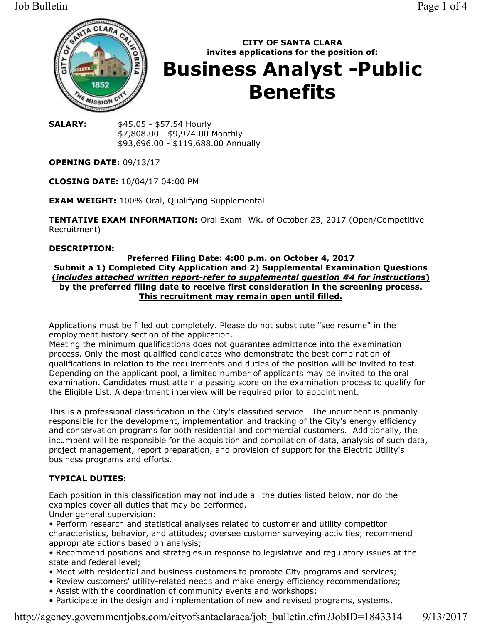

# **CITY OF SANTA CLARA** invites applications for the position of: **Business Analyst -Public Benefits**

**SALARY:** \$45.05 - \$57.54 Hourly \$7,808.00 - \$9,974.00 Monthly \$93,696.00 - \$119,688.00 Annually

**OPENING DATE: 09/13/17** 

**CLOSING DATE: 10/04/17 04:00 PM** 

**EXAM WEIGHT: 100% Oral, Qualifying Supplemental** 

**TENTATIVE EXAM INFORMATION:** Oral Exam- Wk. of October 23, 2017 (Open/Competitive Recruitment)

#### **DESCRIPTION:**

#### Preferred Filing Date: 4:00 p.m. on October 4, 2017 Submit a 1) Completed City Application and 2) Supplemental Examination Questions (includes attached written report-refer to supplemental question #4 for instructions) by the preferred filing date to receive first consideration in the screening process. This recruitment may remain open until filled.

Applications must be filled out completely. Please do not substitute "see resume" in the employment history section of the application.

Meeting the minimum qualifications does not quarantee admittance into the examination process. Only the most qualified candidates who demonstrate the best combination of qualifications in relation to the requirements and duties of the position will be invited to test. Depending on the applicant pool, a limited number of applicants may be invited to the oral examination. Candidates must attain a passing score on the examination process to qualify for the Eligible List. A department interview will be required prior to appointment.

This is a professional classification in the City's classified service. The incumbent is primarily responsible for the development, implementation and tracking of the City's energy efficiency and conservation programs for both residential and commercial customers. Additionally, the incumbent will be responsible for the acquisition and compilation of data, analysis of such data, project management, report preparation, and provision of support for the Electric Utility's business programs and efforts.

## **TYPICAL DUTIES:**

Each position in this classification may not include all the duties listed below, nor do the examples cover all duties that may be performed.

Under general supervision:

• Perform research and statistical analyses related to customer and utility competitor characteristics, behavior, and attitudes; oversee customer surveying activities; recommend appropriate actions based on analysis;

• Recommend positions and strategies in response to legislative and regulatory issues at the state and federal level:

- Meet with residential and business customers to promote City programs and services;
- Review customers' utility-related needs and make energy efficiency recommendations;
- Assist with the coordination of community events and workshops;
- Participate in the design and implementation of new and revised programs, systems,

http://agency.governmentjobs.com/cityofsantaclaraca/job bulletin.cfm?JobID=1843314  $9/13/2017$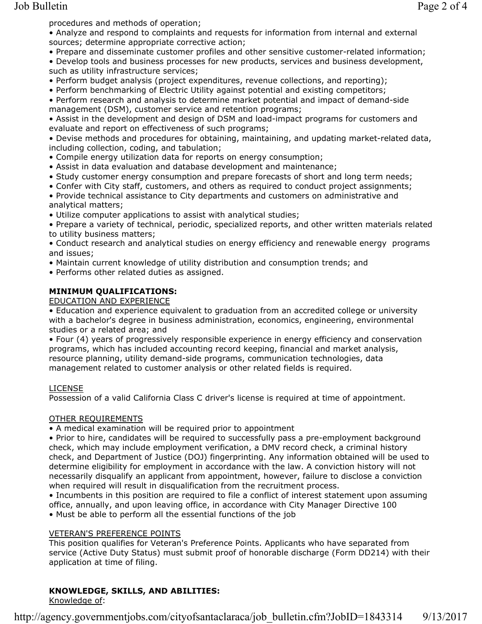procedures and methods of operation;

• Analyze and respond to complaints and requests for information from internal and external sources; determine appropriate corrective action;

. Prepare and disseminate customer profiles and other sensitive customer-related information;

• Develop tools and business processes for new products, services and business development, such as utility infrastructure services;

• Perform budget analysis (project expenditures, revenue collections, and reporting);

• Perform benchmarking of Electric Utility against potential and existing competitors;

• Perform research and analysis to determine market potential and impact of demand-side management (DSM), customer service and retention programs;

• Assist in the development and design of DSM and load-impact programs for customers and evaluate and report on effectiveness of such programs;

. Devise methods and procedures for obtaining, maintaining, and updating market-related data, including collection, coding, and tabulation;

• Compile energy utilization data for reports on energy consumption;

- . Assist in data evaluation and database development and maintenance;
- Study customer energy consumption and prepare forecasts of short and long term needs;
- Confer with City staff, customers, and others as required to conduct project assignments;
- Provide technical assistance to City departments and customers on administrative and analytical matters:

• Utilize computer applications to assist with analytical studies;

• Prepare a variety of technical, periodic, specialized reports, and other written materials related to utility business matters;

• Conduct research and analytical studies on energy efficiency and renewable energy programs and issues:

• Maintain current knowledge of utility distribution and consumption trends; and

• Performs other related duties as assigned.

#### **MINIMUM QUALIFICATIONS:**

EDUCATION AND EXPERIENCE

• Education and experience equivalent to graduation from an accredited college or university with a bachelor's degree in business administration, economics, engineering, environmental studies or a related area; and

• Four (4) years of progressively responsible experience in energy efficiency and conservation programs, which has included accounting record keeping, financial and market analysis, resource planning, utility demand-side programs, communication technologies, data management related to customer analysis or other related fields is required.

#### **LICENSE**

Possession of a valid California Class C driver's license is required at time of appointment.

#### OTHER REQUIREMENTS

• A medical examination will be required prior to appointment

. Prior to hire, candidates will be required to successfully pass a pre-employment background check, which may include employment verification, a DMV record check, a criminal history check, and Department of Justice (DOJ) fingerprinting. Any information obtained will be used to determine eligibility for employment in accordance with the law. A conviction history will not necessarily disqualify an applicant from appointment, however, failure to disclose a conviction when required will result in disqualification from the recruitment process.

• Incumbents in this position are required to file a conflict of interest statement upon assuming office, annually, and upon leaving office, in accordance with City Manager Directive 100

. Must be able to perform all the essential functions of the job

#### **VETERAN'S PREFERENCE POINTS**

This position qualifies for Veteran's Preference Points. Applicants who have separated from service (Active Duty Status) must submit proof of honorable discharge (Form DD214) with their application at time of filing.

# KNOWLEDGE, SKILLS, AND ABILITIES:

Knowledge of:

 $9/13/2017$ http://agency.governmentjobs.com/cityofsantaclaraca/job bulletin.cfm?JobID=1843314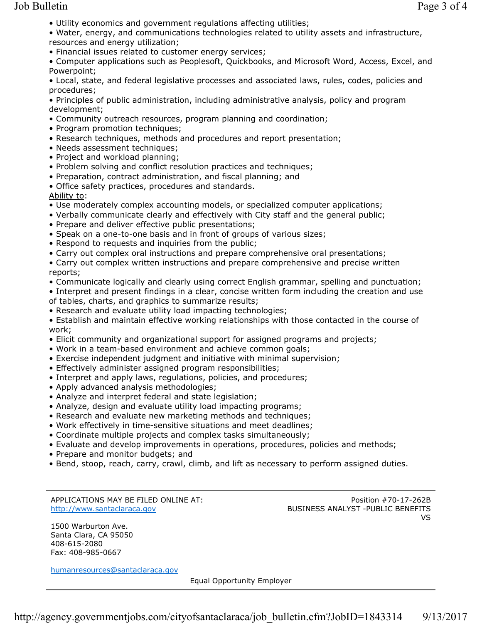. Utility economics and government regulations affecting utilities;

. Water, energy, and communications technologies related to utility assets and infrastructure, resources and energy utilization;

• Financial issues related to customer energy services;

• Computer applications such as Peoplesoft, Quickbooks, and Microsoft Word, Access, Excel, and Powerpoint;

• Local, state, and federal legislative processes and associated laws, rules, codes, policies and procedures;

• Principles of public administration, including administrative analysis, policy and program development:

- Community outreach resources, program planning and coordination;
- Program promotion techniques;
- Research techniques, methods and procedures and report presentation;
- Needs assessment techniques;
- Project and workload planning;
- . Problem solving and conflict resolution practices and techniques;
- Preparation, contract administration, and fiscal planning; and
- · Office safety practices, procedures and standards.

## Ability to:

- Use moderately complex accounting models, or specialized computer applications;
- . Verbally communicate clearly and effectively with City staff and the general public;
- Prepare and deliver effective public presentations;
- Speak on a one-to-one basis and in front of groups of various sizes;
- Respond to requests and inquiries from the public;
- Carry out complex oral instructions and prepare comprehensive oral presentations;
- Carry out complex written instructions and prepare comprehensive and precise written reports;
- Communicate logically and clearly using correct English grammar, spelling and punctuation;
- Interpret and present findings in a clear, concise written form including the creation and use of tables, charts, and graphics to summarize results;
- Research and evaluate utility load impacting technologies;

• Establish and maintain effective working relationships with those contacted in the course of work;

- . Elicit community and organizational support for assigned programs and projects;
- . Work in a team-based environment and achieve common goals;
- Exercise independent judgment and initiative with minimal supervision;
- Effectively administer assigned program responsibilities;
- Interpret and apply laws, regulations, policies, and procedures;
- Apply advanced analysis methodologies;
- Analyze and interpret federal and state legislation;
- Analyze, design and evaluate utility load impacting programs;
- . Research and evaluate new marketing methods and techniques;
- . Work effectively in time-sensitive situations and meet deadlines;
- Coordinate multiple projects and complex tasks simultaneously;
- . Evaluate and develop improvements in operations, procedures, policies and methods;
- Prepare and monitor budgets; and
- . Bend, stoop, reach, carry, crawl, climb, and lift as necessary to perform assigned duties.

#### APPLICATIONS MAY BE FILED ONLINE AT: http://www.santaclaraca.gov

1500 Warburton Ave. Santa Clara, CA 95050 408-615-2080 Fax: 408-985-0667

humanresources@santaclaraca.gov

**Equal Opportunity Employer** 

Position #70-17-262B BUSINESS ANALYST - PUBLIC BENEFITS VS